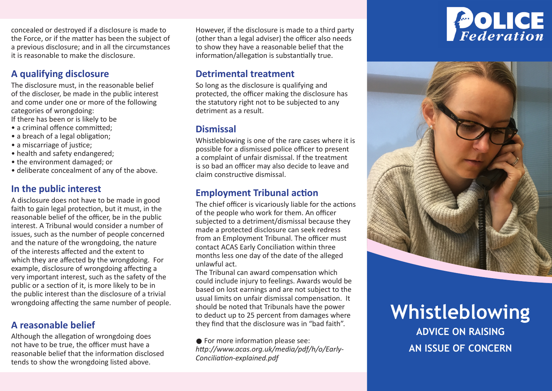concealed or destroyed if a disclosure is made to the Force, or if the matter has been the subject of a previous disclosure; and in all the circumstances it is reasonable to make the disclosure.

# **A qualifying disclosure**

The disclosure must, in the reasonable belief of the discloser, be made in the public interest and come under one or more of the following categories of wrongdoing:

If there has been or is likely to be

- a criminal offence committed:
- a breach of a legal obligation;
- a miscarriage of justice;
- health and safety endangered;
- the environment damaged; or
- deliberate concealment of any of the above.

### **In the public interest**

A disclosure does not have to be made in good faith to gain legal protection, but it must, in the reasonable belief of the officer, be in the public interest. A Tribunal would consider a number of issues, such as the number of people concerned and the nature of the wrongdoing, the nature of the interests affected and the extent to which they are affected by the wrongdoing. For example, disclosure of wrongdoing affecting a very important interest, such as the safety of the public or a section of it, is more likely to be in the public interest than the disclosure of a trivial wrongdoing affecting the same number of people.

#### **A reasonable belief**

Although the allegation of wrongdoing does not have to be true, the officer must have a reasonable belief that the information disclosed tends to show the wrongdoing listed above.

However, if the disclosure is made to a third party (other than a legal adviser) the officer also needs to show they have a reasonable belief that the information/allegation is substantially true.

#### **Detrimental treatment**

So long as the disclosure is qualifying and protected, the officer making the disclosure has the statutory right not to be subjected to any detriment as a result.

#### **Dismissal**

Whistleblowing is one of the rare cases where it is possible for a dismissed police officer to present a complaint of unfair dismissal. If the treatment is so bad an officer may also decide to leave and claim constructive dismissal.

#### **Employment Tribunal action**

The chief officer is vicariously liable for the actions of the people who work for them. An officer subjected to a detriment/dismissal because they made a protected disclosure can seek redress from an Employment Tribunal. The officer must contact ACAS Early Conciliation within three months less one day of the date of the alleged unlawful act.

The Tribunal can award compensation which could include injury to feelings. Awards would be based on lost earnings and are not subject to the usual limits on unfair dismissal compensation. It should be noted that Tribunals have the power to deduct up to 25 percent from damages where they find that the disclosure was in "bad faith".

**•** For more information please see: *http://www.acas.org.uk/media/pdf/h/o/Early-Conciliation-explained.pdf*

# POLICE



# **Whistleblowing**

**ADVICE ON RAISING AN ISSUE OF CONCERN**